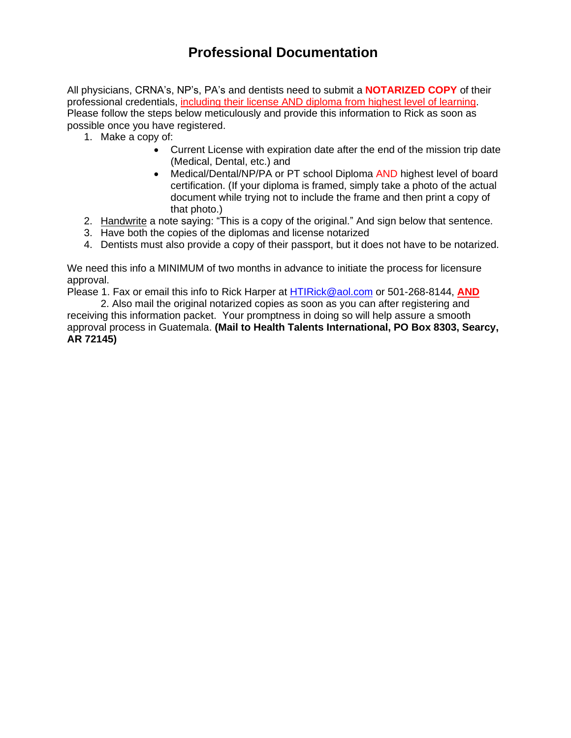## **Professional Documentation**

All physicians, CRNA's, NP's, PA's and dentists need to submit a **NOTARIZED COPY** of their professional credentials, including their license AND diploma from highest level of learning. Please follow the steps below meticulously and provide this information to Rick as soon as possible once you have registered.

- 1. Make a copy of:
	- Current License with expiration date after the end of the mission trip date (Medical, Dental, etc.) and
	- Medical/Dental/NP/PA or PT school Diploma AND highest level of board certification. (If your diploma is framed, simply take a photo of the actual document while trying not to include the frame and then print a copy of that photo.)
- 2. Handwrite a note saying: "This is a copy of the original." And sign below that sentence.
- 3. Have both the copies of the diplomas and license notarized
- 4. Dentists must also provide a copy of their passport, but it does not have to be notarized.

We need this info a MINIMUM of two months in advance to initiate the process for licensure approval.

Please 1. Fax or email this info to Rick Harper at [HTIRick@aol.com](mailto:HTIRick@aol.com) or 501-268-8144, **AND**

2. Also mail the original notarized copies as soon as you can after registering and receiving this information packet. Your promptness in doing so will help assure a smooth approval process in Guatemala. **(Mail to Health Talents International, PO Box 8303, Searcy, AR 72145)**